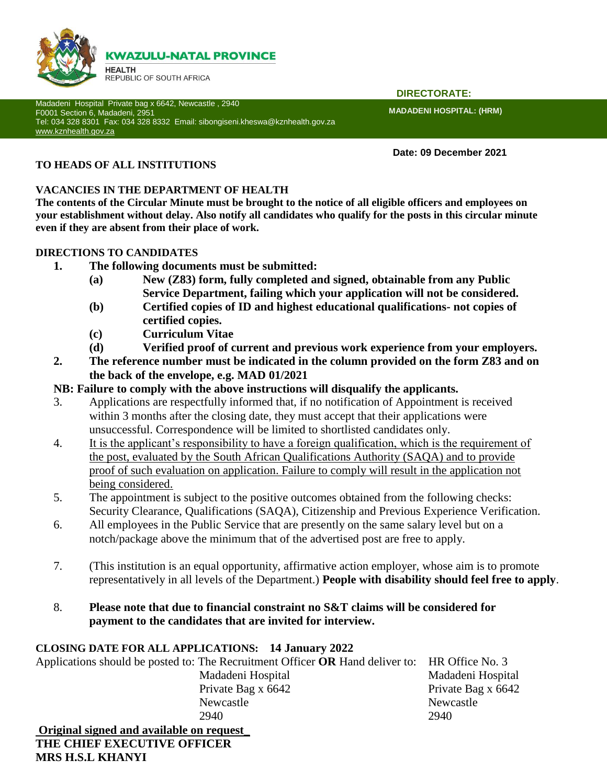

Madadeni Hospital Private bag x 6642, Newcastle , 2940 F0001 Section 6, Madadeni, 2951 Tel: 034 328 8301 Fax: 034 328 8332 Email: sibongiseni.kheswa@kznhealth.gov.za [www.kznhealth.gov.za](http://www.kznhealth.gov.za/)

 **DIRECTORATE:**

**MADADENI HOSPITAL: (HRM)** 

**Date: 09 December 2021**

# **TO HEADS OF ALL INSTITUTIONS**

### **VACANCIES IN THE DEPARTMENT OF HEALTH**

**The contents of the Circular Minute must be brought to the notice of all eligible officers and employees on your establishment without delay. Also notify all candidates who qualify for the posts in this circular minute even if they are absent from their place of work.**

### **DIRECTIONS TO CANDIDATES**

- **1. The following documents must be submitted:**
	- **(a) New (Z83) form, fully completed and signed, obtainable from any Public Service Department, failing which your application will not be considered.**
	- **(b) Certified copies of ID and highest educational qualifications- not copies of certified copies.**
	- **(c) Curriculum Vitae**
	- **(d) Verified proof of current and previous work experience from your employers.**
- **2. The reference number must be indicated in the column provided on the form Z83 and on the back of the envelope, e.g. MAD 01/2021**

# **NB: Failure to comply with the above instructions will disqualify the applicants.**

- 3. Applications are respectfully informed that, if no notification of Appointment is received within 3 months after the closing date, they must accept that their applications were unsuccessful. Correspondence will be limited to shortlisted candidates only.
- 4. It is the applicant's responsibility to have a foreign qualification, which is the requirement of the post, evaluated by the South African Qualifications Authority (SAQA) and to provide proof of such evaluation on application. Failure to comply will result in the application not being considered.
- 5. The appointment is subject to the positive outcomes obtained from the following checks: Security Clearance, Qualifications (SAQA), Citizenship and Previous Experience Verification.
- 6. All employees in the Public Service that are presently on the same salary level but on a notch/package above the minimum that of the advertised post are free to apply.
- 7. (This institution is an equal opportunity, affirmative action employer, whose aim is to promote representatively in all levels of the Department.) **People with disability should feel free to apply**.
- 8. **Please note that due to financial constraint no S&T claims will be considered for payment to the candidates that are invited for interview.**

### **CLOSING DATE FOR ALL APPLICATIONS: 14 January 2022**

Applications should be posted to: The Recruitment Officer **OR** Hand deliver to: HR Office No. 3 Madadeni Hospital Madadeni Hospital

Private Bag x 6642 Private Bag x 6642 Newcastle Newcastle 2940 2940

**Original signed and available on request**\_ **THE CHIEF EXECUTIVE OFFICER MRS H.S.L KHANYI**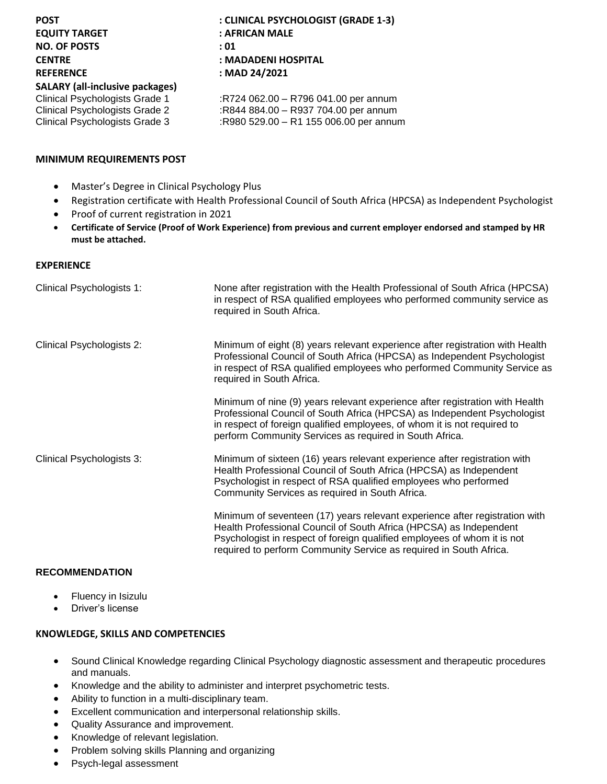| <b>POST</b><br><b>EQUITY TARGET</b><br><b>NO. OF POSTS</b><br><b>CENTRE</b><br><b>REFERENCE</b><br><b>SALARY (all-inclusive packages)</b> | : CLINICAL PSYCHOLOGIST (GRADE 1-3)<br>: AFRICAN MALE<br>: 01<br>: MADADENI HOSPITAL<br>: MAD 24/2021 |
|-------------------------------------------------------------------------------------------------------------------------------------------|-------------------------------------------------------------------------------------------------------|
| Clinical Psychologists Grade 1                                                                                                            | :R724 062.00 - R796 041.00 per annum                                                                  |
| Clinical Psychologists Grade 2                                                                                                            | :R844 884.00 - R937 704.00 per annum                                                                  |
| Clinical Psychologists Grade 3                                                                                                            | :R980 529.00 - R1 155 006.00 per annum                                                                |

#### **MINIMUM REQUIREMENTS POST**

- Master's Degree in Clinical Psychology Plus
- Registration certificate with Health Professional Council of South Africa (HPCSA) as Independent Psychologist
- Proof of current registration in 2021
- **Certificate of Service (Proof of Work Experience) from previous and current employer endorsed and stamped by HR must be attached.**

#### **EXPERIENCE**

| Clinical Psychologists 1: | None after registration with the Health Professional of South Africa (HPCSA)<br>in respect of RSA qualified employees who performed community service as<br>required in South Africa.                                                                                                               |
|---------------------------|-----------------------------------------------------------------------------------------------------------------------------------------------------------------------------------------------------------------------------------------------------------------------------------------------------|
| Clinical Psychologists 2: | Minimum of eight (8) years relevant experience after registration with Health<br>Professional Council of South Africa (HPCSA) as Independent Psychologist<br>in respect of RSA qualified employees who performed Community Service as<br>required in South Africa.                                  |
|                           | Minimum of nine (9) years relevant experience after registration with Health<br>Professional Council of South Africa (HPCSA) as Independent Psychologist<br>in respect of foreign qualified employees, of whom it is not required to<br>perform Community Services as required in South Africa.     |
| Clinical Psychologists 3: | Minimum of sixteen (16) years relevant experience after registration with<br>Health Professional Council of South Africa (HPCSA) as Independent<br>Psychologist in respect of RSA qualified employees who performed<br>Community Services as required in South Africa.                              |
|                           | Minimum of seventeen (17) years relevant experience after registration with<br>Health Professional Council of South Africa (HPCSA) as Independent<br>Psychologist in respect of foreign qualified employees of whom it is not<br>required to perform Community Service as required in South Africa. |

### **RECOMMENDATION**

- Fluency in Isizulu
- Driver's license

#### **KNOWLEDGE, SKILLS AND COMPETENCIES**

- Sound Clinical Knowledge regarding Clinical Psychology diagnostic assessment and therapeutic procedures and manuals.
- Knowledge and the ability to administer and interpret psychometric tests.
- Ability to function in a multi-disciplinary team.
- Excellent communication and interpersonal relationship skills.
- Quality Assurance and improvement.
- Knowledge of relevant legislation.
- Problem solving skills Planning and organizing
- Psych-legal assessment